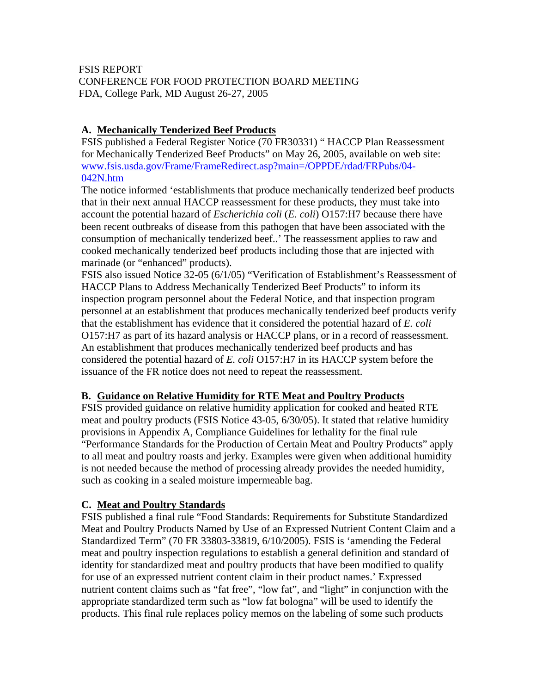## FSIS REPORT CONFERENCE FOR FOOD PROTECTION BOARD MEETING FDA, College Park, MD August 26-27, 2005

# **A. Mechanically Tenderized Beef Products**

FSIS published a Federal Register Notice (70 FR30331) " HACCP Plan Reassessment for Mechanically Tenderized Beef Products" on May 26, 2005, available on web site: www.fsis.usda.gov/Frame/FrameRedirect.asp?main=/OPPDE/rdad/FRPubs/04- 042N.htm

The notice informed 'establishments that produce mechanically tenderized beef products that in their next annual HACCP reassessment for these products, they must take into account the potential hazard of *Escherichia coli* (*E. coli*) O157:H7 because there have been recent outbreaks of disease from this pathogen that have been associated with the consumption of mechanically tenderized beef..' The reassessment applies to raw and cooked mechanically tenderized beef products including those that are injected with marinade (or "enhanced" products).

FSIS also issued Notice 32-05 (6/1/05) "Verification of Establishment's Reassessment of HACCP Plans to Address Mechanically Tenderized Beef Products" to inform its inspection program personnel about the Federal Notice, and that inspection program personnel at an establishment that produces mechanically tenderized beef products verify that the establishment has evidence that it considered the potential hazard of *E. coli* O157:H7 as part of its hazard analysis or HACCP plans, or in a record of reassessment. An establishment that produces mechanically tenderized beef products and has considered the potential hazard of *E. coli* O157:H7 in its HACCP system before the issuance of the FR notice does not need to repeat the reassessment.

## **B. Guidance on Relative Humidity for RTE Meat and Poultry Products**

FSIS provided guidance on relative humidity application for cooked and heated RTE meat and poultry products (FSIS Notice 43-05, 6/30/05). It stated that relative humidity provisions in Appendix A, Compliance Guidelines for lethality for the final rule "Performance Standards for the Production of Certain Meat and Poultry Products" apply to all meat and poultry roasts and jerky. Examples were given when additional humidity is not needed because the method of processing already provides the needed humidity, such as cooking in a sealed moisture impermeable bag.

## **C. Meat and Poultry Standards**

FSIS published a final rule "Food Standards: Requirements for Substitute Standardized Meat and Poultry Products Named by Use of an Expressed Nutrient Content Claim and a Standardized Term" (70 FR 33803-33819, 6/10/2005). FSIS is 'amending the Federal meat and poultry inspection regulations to establish a general definition and standard of identity for standardized meat and poultry products that have been modified to qualify for use of an expressed nutrient content claim in their product names.' Expressed nutrient content claims such as "fat free", "low fat", and "light" in conjunction with the appropriate standardized term such as "low fat bologna" will be used to identify the products. This final rule replaces policy memos on the labeling of some such products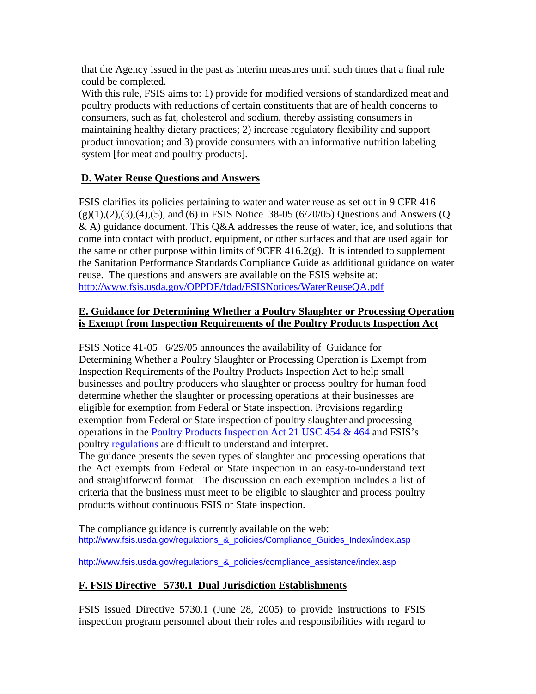that the Agency issued in the past as interim measures until such times that a final rule could be completed.

With this rule, FSIS aims to: 1) provide for modified versions of standardized meat and poultry products with reductions of certain constituents that are of health concerns to consumers, such as fat, cholesterol and sodium, thereby assisting consumers in maintaining healthy dietary practices; 2) increase regulatory flexibility and support product innovation; and 3) provide consumers with an informative nutrition labeling system [for meat and poultry products].

## **D. Water Reuse Questions and Answers**

FSIS clarifies its policies pertaining to water and water reuse as set out in 9 CFR 416  $(g)(1),(2),(3),(4),(5)$ , and  $(6)$  in FSIS Notice 38-05  $(6/20/05)$  Questions and Answers (Q & A) guidance document. This Q&A addresses the reuse of water, ice, and solutions that come into contact with product, equipment, or other surfaces and that are used again for the same or other purpose within limits of  $9CFR$  416.2(g). It is intended to supplement the Sanitation Performance Standards Compliance Guide as additional guidance on water reuse. The questions and answers are available on the FSIS website at: http://www.fsis.usda.gov/OPPDE/fdad/FSISNotices/WaterReuseQA.pdf

#### **E. Guidance for Determining Whether a Poultry Slaughter or Processing Operation is Exempt from Inspection Requirements of the Poultry Products Inspection Act**

FSIS Notice 41-05 6/29/05 announces the availability of Guidance for Determining Whether a Poultry Slaughter or Processing Operation is Exempt from Inspection Requirements of the Poultry Products Inspection Act to help small businesses and poultry producers who slaughter or process poultry for human food determine whether the slaughter or processing operations at their businesses are eligible for exemption from Federal or State inspection. Provisions regarding exemption from Federal or State inspection of poultry slaughter and processing operations in the Poultry Products Inspection Act 21 USC 454 & 464 and FSIS's poultry regulations are difficult to understand and interpret.

The guidance presents the seven types of slaughter and processing operations that the Act exempts from Federal or State inspection in an easy-to-understand text and straightforward format. The discussion on each exemption includes a list of criteria that the business must meet to be eligible to slaughter and process poultry products without continuous FSIS or State inspection.

The compliance guidance is currently available on the web: http://www.fsis.usda.gov/regulations & policies/Compliance Guides Index/index.asp

http://www.fsis.usda.gov/regulations\_&\_policies/compliance\_assistance/index.asp

## **F. FSIS Directive 5730.1 Dual Jurisdiction Establishments**

FSIS issued Directive 5730.1 (June 28, 2005) to provide instructions to FSIS inspection program personnel about their roles and responsibilities with regard to